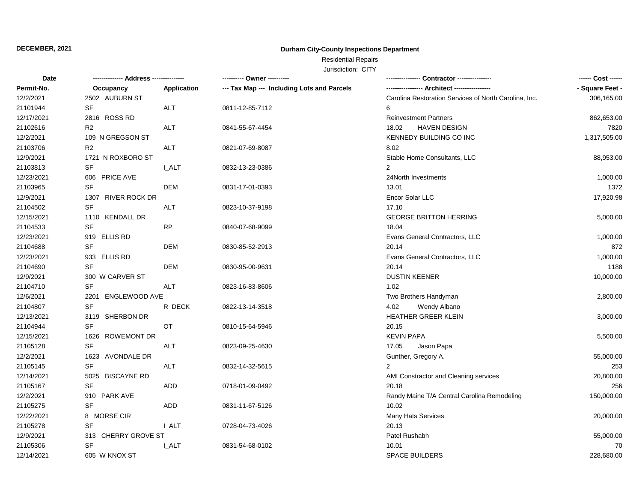### **Durham City-County Inspections Department**

# Residential Repairs

| Date       |                                   |              | ---------- Owner ----------                |                                                       | ------ Cost ------ |
|------------|-----------------------------------|--------------|--------------------------------------------|-------------------------------------------------------|--------------------|
| Permit-No. | Occupancy                         | Application  | --- Tax Map --- Including Lots and Parcels |                                                       | - Square Feet -    |
| 12/2/2021  | 2502 AUBURN ST                    |              |                                            | Carolina Restoration Services of North Carolina, Inc. | 306,165.00         |
| 21101944   | SF                                | ALT          | 0811-12-85-7112                            | 6                                                     |                    |
| 12/17/2021 | 2816 ROSS RD                      |              |                                            | <b>Reinvestment Partners</b>                          | 862,653.00         |
| 21102616   | R <sub>2</sub>                    | <b>ALT</b>   | 0841-55-67-4454                            | <b>HAVEN DESIGN</b><br>18.02                          | 7820               |
| 12/2/2021  | 109 N GREGSON ST                  |              |                                            | KENNEDY BUILDING CO INC                               | 1,317,505.00       |
| 21103706   | R <sub>2</sub>                    | <b>ALT</b>   | 0821-07-69-8087                            | 8.02                                                  |                    |
| 12/9/2021  | 1721 N ROXBORO ST                 |              |                                            | Stable Home Consultants, LLC                          | 88,953.00          |
| 21103813   | SF                                | <b>I_ALT</b> | 0832-13-23-0386                            | $\mathbf{2}$                                          |                    |
| 12/23/2021 | 606 PRICE AVE                     |              |                                            | 24North Investments                                   | 1,000.00           |
| 21103965   | $\ensuremath{\mathsf{SF}}\xspace$ | <b>DEM</b>   | 0831-17-01-0393                            | 13.01                                                 | 1372               |
| 12/9/2021  | 1307 RIVER ROCK DR                |              |                                            | Encor Solar LLC                                       | 17,920.98          |
| 21104502   | <b>SF</b>                         | ALT          | 0823-10-37-9198                            | 17.10                                                 |                    |
| 12/15/2021 | 1110 KENDALL DR                   |              |                                            | <b>GEORGE BRITTON HERRING</b>                         | 5,000.00           |
| 21104533   | <b>SF</b>                         | <b>RP</b>    | 0840-07-68-9099                            | 18.04                                                 |                    |
| 12/23/2021 | 919 ELLIS RD                      |              |                                            | Evans General Contractors, LLC                        | 1,000.00           |
| 21104688   | SF                                | DEM          | 0830-85-52-2913                            | 20.14                                                 | 872                |
| 12/23/2021 | 933 ELLIS RD                      |              |                                            | Evans General Contractors, LLC                        | 1,000.00           |
| 21104690   | SF                                | <b>DEM</b>   | 0830-95-00-9631                            | 20.14                                                 | 1188               |
| 12/9/2021  | 300 W CARVER ST                   |              |                                            | <b>DUSTIN KEENER</b>                                  | 10,000.00          |
| 21104710   | <b>SF</b>                         | <b>ALT</b>   | 0823-16-83-8606                            | 1.02                                                  |                    |
| 12/6/2021  | 2201 ENGLEWOOD AVE                |              |                                            | Two Brothers Handyman                                 | 2,800.00           |
| 21104807   | SF                                | R_DECK       | 0822-13-14-3518                            | 4.02<br>Wendy Albano                                  |                    |
| 12/13/2021 | 3119 SHERBON DR                   |              |                                            | HEATHER GREER KLEIN                                   | 3,000.00           |
| 21104944   | <b>SF</b>                         | OT           | 0810-15-64-5946                            | 20.15                                                 |                    |
| 12/15/2021 | 1626 ROWEMONT DR                  |              |                                            | <b>KEVIN PAPA</b>                                     | 5,500.00           |
| 21105128   | <b>SF</b>                         | <b>ALT</b>   | 0823-09-25-4630                            | 17.05<br>Jason Papa                                   |                    |
| 12/2/2021  | 1623 AVONDALE DR                  |              |                                            | Gunther, Gregory A.                                   | 55,000.00          |
| 21105145   | <b>SF</b>                         | ALT          | 0832-14-32-5615                            | $\overline{2}$                                        | 253                |
| 12/14/2021 | 5025 BISCAYNE RD                  |              |                                            | AMI Constractor and Cleaning services                 | 20,800.00          |
| 21105167   | SF                                | <b>ADD</b>   | 0718-01-09-0492                            | 20.18                                                 | 256                |
| 12/2/2021  | 910 PARK AVE                      |              |                                            | Randy Maine T/A Central Carolina Remodeling           | 150,000.00         |
| 21105275   | <b>SF</b>                         | <b>ADD</b>   | 0831-11-67-5126                            | 10.02                                                 |                    |
| 12/22/2021 | 8 MORSE CIR                       |              |                                            | Many Hats Services                                    | 20,000.00          |
| 21105278   | SF                                | <b>I_ALT</b> | 0728-04-73-4026                            | 20.13                                                 |                    |
| 12/9/2021  | 313 CHERRY GROVE ST               |              |                                            | Patel Rushabh                                         | 55,000.00          |
| 21105306   | SF                                | <b>LALT</b>  | 0831-54-68-0102                            | 10.01                                                 | 70                 |
| 12/14/2021 | 605 W KNOX ST                     |              |                                            | SPACE BUILDERS                                        | 228,680.00         |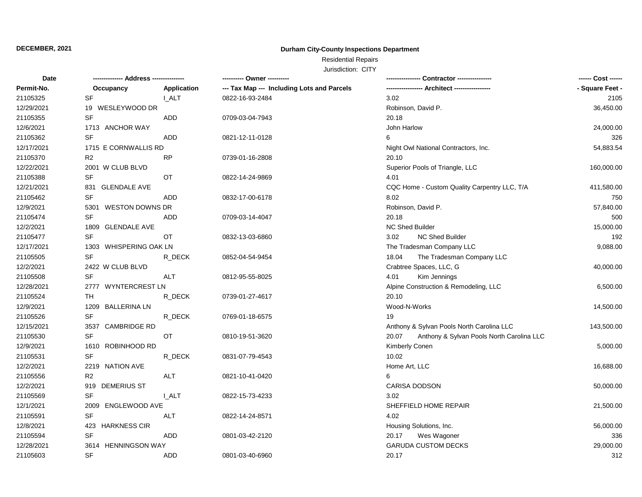### **Durham City-County Inspections Department**

# Residential Repairs

| Date       | ------------- Address -------------- |              | ---------- Owner ----------                |                                                    | ------ Cost ------ |  |
|------------|--------------------------------------|--------------|--------------------------------------------|----------------------------------------------------|--------------------|--|
| Permit-No. | Occupancy                            | Application  | --- Tax Map --- Including Lots and Parcels | ---------------- Architect ----------------        | - Square Feet -    |  |
| 21105325   | SF                                   | <b>I_ALT</b> | 0822-16-93-2484                            | 3.02                                               | 2105               |  |
| 12/29/2021 | 19 WESLEYWOOD DR                     |              |                                            | Robinson, David P.                                 | 36,450.00          |  |
| 21105355   | <b>SF</b>                            | <b>ADD</b>   | 0709-03-04-7943                            | 20.18                                              |                    |  |
| 12/6/2021  | 1713 ANCHOR WAY                      |              |                                            | John Harlow                                        | 24,000.00          |  |
| 21105362   | <b>SF</b>                            | <b>ADD</b>   | 0821-12-11-0128                            | 6                                                  | 326                |  |
| 12/17/2021 | 1715 E CORNWALLIS RD                 |              |                                            | Night Owl National Contractors, Inc.               | 54,883.54          |  |
| 21105370   | R <sub>2</sub>                       | RP           | 0739-01-16-2808                            | 20.10                                              |                    |  |
| 12/22/2021 | 2001 W CLUB BLVD                     |              |                                            | Superior Pools of Triangle, LLC                    | 160,000.00         |  |
| 21105388   | <b>SF</b>                            | <b>OT</b>    | 0822-14-24-9869                            | 4.01                                               |                    |  |
| 12/21/2021 | 831 GLENDALE AVE                     |              |                                            | CQC Home - Custom Quality Carpentry LLC, T/A       | 411,580.00         |  |
| 21105462   | <b>SF</b>                            | ADD          | 0832-17-00-6178                            | 8.02                                               | 750                |  |
| 12/9/2021  | 5301 WESTON DOWNS DR                 |              |                                            | Robinson, David P.                                 | 57,840.00          |  |
| 21105474   | <b>SF</b>                            | ADD          | 0709-03-14-4047                            | 20.18                                              | 500                |  |
| 12/2/2021  | 1809 GLENDALE AVE                    |              |                                            | NC Shed Builder                                    | 15,000.00          |  |
| 21105477   | <b>SF</b>                            | OT.          | 0832-13-03-6860                            | 3.02<br>NC Shed Builder                            | 192                |  |
| 12/17/2021 | 1303 WHISPERING OAK LN               |              |                                            | The Tradesman Company LLC                          | 9,088.00           |  |
| 21105505   | <b>SF</b>                            | R DECK       | 0852-04-54-9454                            | 18.04<br>The Tradesman Company LLC                 |                    |  |
| 12/2/2021  | 2422 W CLUB BLVD                     |              |                                            | Crabtree Spaces, LLC, G                            | 40,000.00          |  |
| 21105508   | <b>SF</b>                            | ALT          | 0812-95-55-8025                            | Kim Jennings<br>4.01                               |                    |  |
| 12/28/2021 | 2777 WYNTERCREST LN                  |              |                                            | Alpine Construction & Remodeling, LLC              | 6,500.00           |  |
| 21105524   | TH                                   | R_DECK       | 0739-01-27-4617                            | 20.10                                              |                    |  |
| 12/9/2021  | 1209 BALLERINA LN                    |              |                                            | Wood-N-Works                                       | 14,500.00          |  |
| 21105526   | <b>SF</b>                            | R DECK       | 0769-01-18-6575                            | 19                                                 |                    |  |
| 12/15/2021 | 3537 CAMBRIDGE RD                    |              |                                            | Anthony & Sylvan Pools North Carolina LLC          | 143,500.00         |  |
| 21105530   | <b>SF</b>                            | OT           | 0810-19-51-3620                            | Anthony & Sylvan Pools North Carolina LLC<br>20.07 |                    |  |
| 12/9/2021  | 1610 ROBINHOOD RD                    |              |                                            | <b>Kimberly Conen</b>                              | 5,000.00           |  |
| 21105531   | <b>SF</b>                            | R_DECK       | 0831-07-79-4543                            | 10.02                                              |                    |  |
| 12/2/2021  | 2219 NATION AVE                      |              |                                            | Home Art, LLC                                      | 16,688.00          |  |
| 21105556   | R <sub>2</sub>                       | <b>ALT</b>   | 0821-10-41-0420                            | 6                                                  |                    |  |
| 12/2/2021  | 919 DEMERIUS ST                      |              |                                            | CARISA DODSON                                      | 50,000.00          |  |
| 21105569   | <b>SF</b>                            | I ALT        | 0822-15-73-4233                            | 3.02                                               |                    |  |
| 12/1/2021  | 2009 ENGLEWOOD AVE                   |              |                                            | SHEFFIELD HOME REPAIR                              | 21,500.00          |  |
| 21105591   | SF                                   | ALT          | 0822-14-24-8571                            | 4.02                                               |                    |  |
| 12/8/2021  | 423 HARKNESS CIR                     |              |                                            | Housing Solutions, Inc.                            | 56,000.00          |  |
| 21105594   | <b>SF</b>                            | <b>ADD</b>   | 0801-03-42-2120                            | 20.17<br>Wes Wagoner                               | 336                |  |
| 12/28/2021 | 3614 HENNINGSON WAY                  |              |                                            | <b>GARUDA CUSTOM DECKS</b>                         | 29,000.00          |  |
| 21105603   | <b>SF</b>                            | <b>ADD</b>   | 0801-03-40-6960                            | 20.17                                              | 312                |  |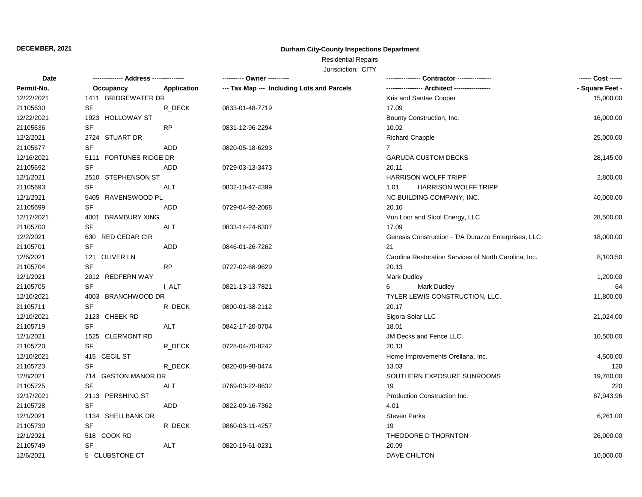### **Durham City-County Inspections Department**

# Residential Repairs

| -------------- Address ---------------<br>Date |                                   | ------ Cost ------ |                                            |                                                       |                 |
|------------------------------------------------|-----------------------------------|--------------------|--------------------------------------------|-------------------------------------------------------|-----------------|
| Permit-No.                                     | Occupancy                         | Application        | --- Tax Map --- Including Lots and Parcels | ---------------- Architect ----------------           | - Square Feet - |
| 12/22/2021                                     | 1411 BRIDGEWATER DR               |                    |                                            | Kris and Santae Cooper                                | 15,000.00       |
| 21105630                                       | SF                                | R_DECK             | 0833-01-48-7719                            | 17.09                                                 |                 |
| 12/22/2021                                     | 1923 HOLLOWAY ST                  |                    |                                            | Bounty Construction, Inc.                             | 16,000.00       |
| 21105636                                       | SF                                | <b>RP</b>          | 0831-12-96-2294                            | 10.02                                                 |                 |
| 12/2/2021                                      | 2724 STUART DR                    |                    |                                            | <b>Richard Chapple</b>                                | 25,000.00       |
| 21105677                                       | SF                                | <b>ADD</b>         | 0820-05-18-6293                            | $7^{\circ}$                                           |                 |
| 12/16/2021                                     | 5111 FORTUNES RIDGE DR            |                    |                                            | <b>GARUDA CUSTOM DECKS</b>                            | 28,145.00       |
| 21105692                                       | <b>SF</b>                         | ADD.               | 0729-03-13-3473                            | 20.11                                                 |                 |
| 12/1/2021                                      | 2510 STEPHENSON ST                |                    |                                            | <b>HARRISON WOLFF TRIPP</b>                           | 2,800.00        |
| 21105693                                       | $\ensuremath{\mathsf{SF}}\xspace$ | ALT                | 0832-10-47-4399                            | HARRISON WOLFF TRIPP<br>1.01                          |                 |
| 12/1/2021                                      | 5405 RAVENSWOOD PL                |                    |                                            | NC BUILDING COMPANY, INC.                             | 40,000.00       |
| 21105699                                       | <b>SF</b>                         | <b>ADD</b>         | 0729-04-92-2068                            | 20.10                                                 |                 |
| 12/17/2021                                     | 4001 BRAMBURY XING                |                    |                                            | Von Loor and Sloof Energy, LLC                        | 28,500.00       |
| 21105700                                       | <b>SF</b>                         | <b>ALT</b>         | 0833-14-24-6307                            | 17.09                                                 |                 |
| 12/2/2021                                      | 630 RED CEDAR CIR                 |                    |                                            | Genesis Construction - T/A Durazzo Enterprises, LLC   | 18,000.00       |
| 21105701                                       | SF                                | ADD                | 0846-01-26-7262                            | 21                                                    |                 |
| 12/6/2021                                      | 121 OLIVER LN                     |                    |                                            | Carolina Restoration Services of North Carolina, Inc. | 8,103.50        |
| 21105704                                       | <b>SF</b>                         | <b>RP</b>          | 0727-02-68-9629                            | 20.13                                                 |                 |
| 12/1/2021                                      | 2012 REDFERN WAY                  |                    |                                            | <b>Mark Dudley</b>                                    | 1,200.00        |
| 21105705                                       | <b>SF</b>                         | <b>I_ALT</b>       | 0821-13-13-7821                            | <b>Mark Dudley</b><br>6                               | 64              |
| 12/10/2021                                     | 4003 BRANCHWOOD DR                |                    |                                            | TYLER LEWIS CONSTRUCTION, LLC.                        | 11,800.00       |
| 21105711                                       | SF                                | R_DECK             | 0800-01-38-2112                            | 20.17                                                 |                 |
| 12/10/2021                                     | 2123 CHEEK RD                     |                    |                                            | Sigora Solar LLC                                      | 21,024.00       |
| 21105719                                       | <b>SF</b>                         | ALT                | 0842-17-20-0704                            | 18.01                                                 |                 |
| 12/1/2021                                      | 1525 CLERMONT RD                  |                    |                                            | JM Decks and Fence LLC.                               | 10,500.00       |
| 21105720                                       | <b>SF</b>                         | R DECK             | 0728-04-70-8242                            | 20.13                                                 |                 |
| 12/10/2021                                     | 415 CECIL ST                      |                    |                                            | Home Improvements Orellana, Inc.                      | 4,500.00        |
| 21105723                                       | <b>SF</b>                         | R_DECK             | 0820-08-98-0474                            | 13.03                                                 | 120             |
| 12/8/2021                                      | 714 GASTON MANOR DR               |                    |                                            | SOUTHERN EXPOSURE SUNROOMS                            | 19,780.00       |
| 21105725                                       | <b>SF</b>                         | ALT                | 0769-03-22-8632                            | 19                                                    | 220             |
| 12/17/2021                                     | 2113 PERSHING ST                  |                    |                                            | Production Construction Inc.                          | 67,943.96       |
| 21105728                                       | <b>SF</b>                         | ADD                | 0822-09-16-7362                            | 4.01                                                  |                 |
| 12/1/2021                                      | 1134 SHELLBANK DR                 |                    |                                            | <b>Steven Parks</b>                                   | 6,261.00        |
| 21105730                                       | <b>SF</b>                         | R_DECK             | 0860-03-11-4257                            | 19                                                    |                 |
| 12/1/2021                                      | 518 COOK RD                       |                    |                                            | THEODORE D THORNTON                                   | 26,000.00       |
| 21105749                                       | SF                                | ALT                | 0820-19-61-0231                            | 20.09                                                 |                 |
| 12/6/2021                                      | 5 CLUBSTONE CT                    |                    |                                            | DAVE CHILTON                                          | 10,000.00       |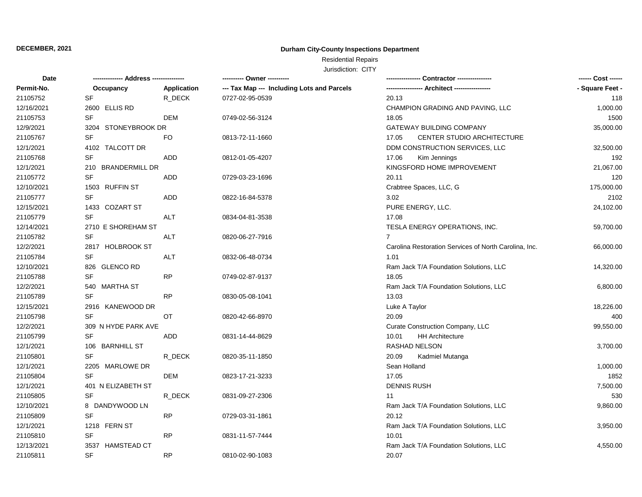### **Durham City-County Inspections Department**

# Residential Repairs

| Date       | ------------- Address --------------- |             | ---------- Owner ----------                |                                                       | ------ Cost ------ |
|------------|---------------------------------------|-------------|--------------------------------------------|-------------------------------------------------------|--------------------|
| Permit-No. | Occupancy                             | Application | --- Tax Map --- Including Lots and Parcels | --- Architect -----------------                       | - Square Feet -    |
| 21105752   | <b>SF</b>                             | R DECK      | 0727-02-95-0539                            | 20.13                                                 | 118                |
| 12/16/2021 | 2600 ELLIS RD                         |             |                                            | CHAMPION GRADING AND PAVING, LLC                      | 1,000.00           |
| 21105753   | <b>SF</b>                             | <b>DEM</b>  | 0749-02-56-3124                            | 18.05                                                 | 1500               |
| 12/9/2021  | 3204 STONEYBROOK DR                   |             |                                            | <b>GATEWAY BUILDING COMPANY</b>                       | 35,000.00          |
| 21105767   | <b>SF</b>                             | FO.         | 0813-72-11-1660                            | <b>CENTER STUDIO ARCHITECTURE</b><br>17.05            |                    |
| 12/1/2021  | 4102 TALCOTT DR                       |             |                                            | DDM CONSTRUCTION SERVICES, LLC                        | 32,500.00          |
| 21105768   | SF                                    | <b>ADD</b>  | 0812-01-05-4207                            | 17.06<br>Kim Jennings                                 | 192                |
| 12/1/2021  | 210 BRANDERMILL DR                    |             |                                            | KINGSFORD HOME IMPROVEMENT                            | 21,067.00          |
| 21105772   | <b>SF</b>                             | ADD         | 0729-03-23-1696                            | 20.11                                                 | 120                |
| 12/10/2021 | 1503 RUFFIN ST                        |             |                                            | Crabtree Spaces, LLC, G                               | 175,000.00         |
| 21105777   | <b>SF</b>                             | <b>ADD</b>  | 0822-16-84-5378                            | 3.02                                                  | 2102               |
| 12/15/2021 | 1433 COZART ST                        |             |                                            | PURE ENERGY, LLC.                                     | 24,102.00          |
| 21105779   | <b>SF</b>                             | <b>ALT</b>  | 0834-04-81-3538                            | 17.08                                                 |                    |
| 12/14/2021 | 2710 E SHOREHAM ST                    |             |                                            | TESLA ENERGY OPERATIONS, INC.                         | 59,700.00          |
| 21105782   | SF                                    | ALT         | 0820-06-27-7916                            | $\overline{7}$                                        |                    |
| 12/2/2021  | 2817 HOLBROOK ST                      |             |                                            | Carolina Restoration Services of North Carolina, Inc. | 66,000.00          |
| 21105784   | <b>SF</b>                             | ALT         | 0832-06-48-0734                            | 1.01                                                  |                    |
| 12/10/2021 | 826 GLENCO RD                         |             |                                            | Ram Jack T/A Foundation Solutions, LLC                | 14,320.00          |
| 21105788   | <b>SF</b>                             | <b>RP</b>   | 0749-02-87-9137                            | 18.05                                                 |                    |
| 12/2/2021  | 540 MARTHA ST                         |             |                                            | Ram Jack T/A Foundation Solutions, LLC                | 6,800.00           |
| 21105789   | <b>SF</b>                             | <b>RP</b>   | 0830-05-08-1041                            | 13.03                                                 |                    |
| 12/15/2021 | 2916 KANEWOOD DR                      |             |                                            | Luke A Taylor                                         | 18,226.00          |
| 21105798   | <b>SF</b>                             | ОT          | 0820-42-66-8970                            | 20.09                                                 | 400                |
| 12/2/2021  | 309 N HYDE PARK AVE                   |             |                                            | Curate Construction Company, LLC                      | 99,550.00          |
| 21105799   | SF                                    | ADD         | 0831-14-44-8629                            | 10.01<br><b>HH Architecture</b>                       |                    |
| 12/1/2021  | 106 BARNHILL ST                       |             |                                            | RASHAD NELSON                                         | 3,700.00           |
| 21105801   | <b>SF</b>                             | R_DECK      | 0820-35-11-1850                            | 20.09<br>Kadmiel Mutanga                              |                    |
| 12/1/2021  | 2205 MARLOWE DR                       |             |                                            | Sean Holland                                          | 1,000.00           |
| 21105804   | <b>SF</b>                             | DEM         | 0823-17-21-3233                            | 17.05                                                 | 1852               |
| 12/1/2021  | 401 N ELIZABETH ST                    |             |                                            | <b>DENNIS RUSH</b>                                    | 7,500.00           |
| 21105805   | SF                                    | R_DECK      | 0831-09-27-2306                            | 11                                                    | 530                |
| 12/10/2021 | 8 DANDYWOOD LN                        |             |                                            | Ram Jack T/A Foundation Solutions, LLC                | 9,860.00           |
| 21105809   | <b>SF</b>                             | <b>RP</b>   | 0729-03-31-1861                            | 20.12                                                 |                    |
| 12/1/2021  | 1218 FERN ST                          |             |                                            | Ram Jack T/A Foundation Solutions, LLC                | 3,950.00           |
| 21105810   | <b>SF</b>                             | <b>RP</b>   | 0831-11-57-7444                            | 10.01                                                 |                    |
| 12/13/2021 | 3537 HAMSTEAD CT                      |             |                                            | Ram Jack T/A Foundation Solutions, LLC                | 4,550.00           |
| 21105811   | <b>SF</b>                             | <b>RP</b>   | 0810-02-90-1083                            | 20.07                                                 |                    |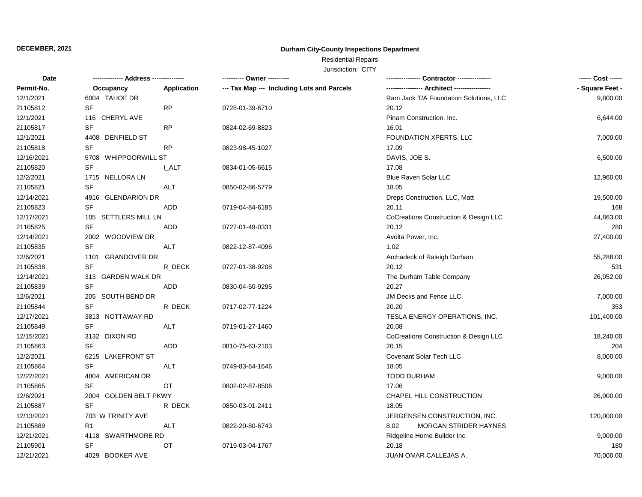### **Durham City-County Inspections Department**

# Residential Repairs

| Date       | -------------- Address --------------- |             | ---------- Owner ----------                |                                        | ------ Cost ------ |
|------------|----------------------------------------|-------------|--------------------------------------------|----------------------------------------|--------------------|
| Permit-No. | Occupancy                              | Application | --- Tax Map --- Including Lots and Parcels | -- Architect ----------------          | - Square Feet -    |
| 12/1/2021  | 6004 TAHOE DR                          |             |                                            | Ram Jack T/A Foundation Solutions, LLC | 9,800.00           |
| 21105812   | SF                                     | <b>RP</b>   | 0728-01-39-6710                            | 20.12                                  |                    |
| 12/1/2021  | 116 CHERYL AVE                         |             |                                            | Pinam Construction, Inc.               | 6,644.00           |
| 21105817   | SF                                     | <b>RP</b>   | 0824-02-69-8823                            | 16.01                                  |                    |
| 12/1/2021  | 4408 DENFIELD ST                       |             |                                            | FOUNDATION XPERTS, LLC                 | 7,000.00           |
| 21105818   | <b>SF</b>                              | <b>RP</b>   | 0823-98-45-1027                            | 17.09                                  |                    |
| 12/16/2021 | 5708 WHIPPOORWILL ST                   |             |                                            | DAVIS, JOE S.                          | 6,500.00           |
| 21105820   | SF                                     | <b>LALT</b> | 0834-01-05-6615                            | 17.08                                  |                    |
| 12/2/2021  | 1715 NELLORA LN                        |             |                                            | Blue Raven Solar LLC                   | 12,960.00          |
| 21105821   | SF                                     | <b>ALT</b>  | 0850-02-86-5779                            | 18.05                                  |                    |
| 12/14/2021 | 4916 GLENDARION DR                     |             |                                            | Dreps Construction, LLC, Matt          | 19,500.00          |
| 21105823   | <b>SF</b>                              | <b>ADD</b>  | 0719-04-84-6185                            | 20.11                                  | 168                |
| 12/17/2021 | 105 SETTLERS MILL LN                   |             |                                            | CoCreations Construction & Design LLC  | 44,863.00          |
| 21105825   | <b>SF</b>                              | <b>ADD</b>  | 0727-01-49-0331                            | 20.12                                  | 280                |
| 12/14/2021 | 2002 WOODVIEW DR                       |             |                                            | Avolta Power, Inc.                     | 27,400.00          |
| 21105835   | <b>SF</b>                              | <b>ALT</b>  | 0822-12-87-4096                            | 1.02                                   |                    |
| 12/6/2021  | 1101 GRANDOVER DR                      |             |                                            | Archadeck of Raleigh Durham            | 55,288.00          |
| 21105838   | <b>SF</b>                              | R_DECK      | 0727-01-38-9208                            | 20.12                                  | 531                |
| 12/14/2021 | 313 GARDEN WALK DR                     |             |                                            | The Durham Table Company               | 26,952.00          |
| 21105839   | <b>SF</b>                              | ADD         | 0830-04-50-9295                            | 20.27                                  |                    |
| 12/6/2021  | 205 SOUTH BEND DR                      |             |                                            | JM Decks and Fence LLC.                | 7,000.00           |
| 21105844   | <b>SF</b>                              | R_DECK      | 0717-02-77-1224                            | 20.20                                  | 353                |
| 12/17/2021 | 3813 NOTTAWAY RD                       |             |                                            | TESLA ENERGY OPERATIONS, INC.          | 101,400.00         |
| 21105849   | SF                                     | ALT         | 0719-01-27-1460                            | 20.08                                  |                    |
| 12/15/2021 | 3132 DIXON RD                          |             |                                            | CoCreations Construction & Design LLC  | 18,240.00          |
| 21105863   | SF                                     | ADD         | 0810-75-63-2103                            | 20.15                                  | 204                |
| 12/2/2021  | 6215 LAKEFRONT ST                      |             |                                            | Covenant Solar Tech LLC                | 8,000.00           |
| 21105864   | <b>SF</b>                              | <b>ALT</b>  | 0749-83-84-1646                            | 18.05                                  |                    |
| 12/22/2021 | 4804 AMERICAN DR                       |             |                                            | TODD DURHAM                            | 9,000.00           |
| 21105865   | <b>SF</b>                              | <b>OT</b>   | 0802-02-87-8506                            | 17.06                                  |                    |
| 12/6/2021  | 2004 GOLDEN BELT PKWY                  |             |                                            | CHAPEL HILL CONSTRUCTION               | 26,000.00          |
| 21105887   | <b>SF</b>                              | R_DECK      | 0850-03-01-2411                            | 18.05                                  |                    |
| 12/13/2021 | 703 W TRINITY AVE                      |             |                                            | JERGENSEN CONSTRUCTION, INC.           | 120,000.00         |
| 21105889   | R <sub>1</sub>                         | <b>ALT</b>  | 0822-20-80-6743                            | MORGAN STRIDER HAYNES<br>8.02          |                    |
| 12/21/2021 | 4118 SWARTHMORE RD                     |             |                                            | Ridgeline Home Builder Inc             | 9,000.00           |
| 21105901   | SF                                     | OT          | 0719-03-04-1767                            | 20.18                                  | 180                |
| 12/21/2021 | 4029 BOOKER AVE                        |             |                                            | JUAN OMAR CALLEJAS A.                  | 70,000.00          |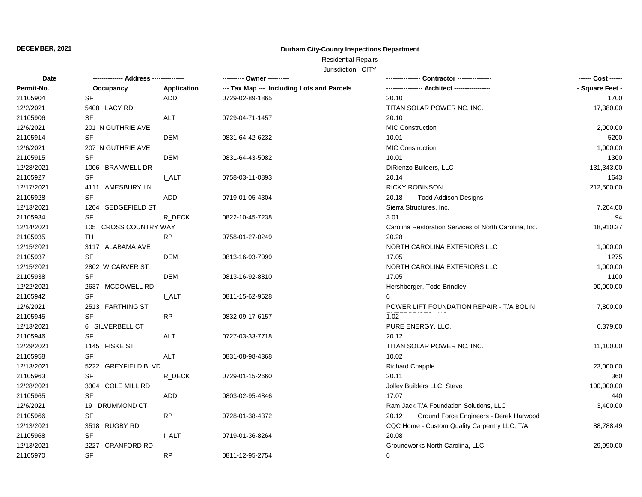### **Durham City-County Inspections Department**

# Residential Repairs

| <b>Date</b> | -------------- Address --------------- |              | ---------- Owner ----------                |                                                       |                 |
|-------------|----------------------------------------|--------------|--------------------------------------------|-------------------------------------------------------|-----------------|
| Permit-No.  | Occupancy                              | Application  | --- Tax Map --- Including Lots and Parcels |                                                       | - Square Feet - |
| 21105904    | <b>SF</b>                              | <b>ADD</b>   | 0729-02-89-1865                            | 20.10                                                 | 1700            |
| 12/2/2021   | 5408 LACY RD                           |              |                                            | TITAN SOLAR POWER NC, INC.                            | 17,380.00       |
| 21105906    | SF                                     | <b>ALT</b>   | 0729-04-71-1457                            | 20.10                                                 |                 |
| 12/6/2021   | 201 N GUTHRIE AVE                      |              |                                            | <b>MIC Construction</b>                               | 2,000.00        |
| 21105914    | <b>SF</b>                              | <b>DEM</b>   | 0831-64-42-6232                            | 10.01                                                 | 5200            |
| 12/6/2021   | 207 N GUTHRIE AVE                      |              |                                            | <b>MIC Construction</b>                               | 1,000.00        |
| 21105915    | SF                                     | <b>DEM</b>   | 0831-64-43-5082                            | 10.01                                                 | 1300            |
| 12/28/2021  | 1006 BRANWELL DR                       |              |                                            | DiRienzo Builders, LLC                                | 131,343.00      |
| 21105927    | SF                                     | I ALT        | 0758-03-11-0893                            | 20.14                                                 | 1643            |
| 12/17/2021  | 4111 AMESBURY LN                       |              |                                            | <b>RICKY ROBINSON</b>                                 | 212,500.00      |
| 21105928    | <b>SF</b>                              | ADD          | 0719-01-05-4304                            | 20.18<br><b>Todd Addison Designs</b>                  |                 |
| 12/13/2021  | 1204 SEDGEFIELD ST                     |              |                                            | Sierra Structures, Inc.                               | 7,204.00        |
| 21105934    | <b>SF</b>                              | R_DECK       | 0822-10-45-7238                            | 3.01                                                  | 94              |
| 12/14/2021  | 105 CROSS COUNTRY WAY                  |              |                                            | Carolina Restoration Services of North Carolina, Inc. | 18,910.37       |
| 21105935    | <b>TH</b>                              | <b>RP</b>    | 0758-01-27-0249                            | 20.28                                                 |                 |
| 12/15/2021  | 3117 ALABAMA AVE                       |              |                                            | NORTH CAROLINA EXTERIORS LLC                          | 1,000.00        |
| 21105937    | <b>SF</b>                              | <b>DEM</b>   | 0813-16-93-7099                            | 17.05                                                 | 1275            |
| 12/15/2021  | 2802 W CARVER ST                       |              |                                            | NORTH CAROLINA EXTERIORS LLC                          | 1,000.00        |
| 21105938    | SF                                     | DEM          | 0813-16-92-8810                            | 17.05                                                 | 1100            |
| 12/22/2021  | 2637 MCDOWELL RD                       |              |                                            | Hershberger, Todd Brindley                            | 90,000.00       |
| 21105942    | <b>SF</b>                              | I ALT        | 0811-15-62-9528                            |                                                       |                 |
| 12/6/2021   | 2513 FARTHING ST                       |              |                                            | POWER LIFT FOUNDATION REPAIR - T/A BOLIN              | 7,800.00        |
| 21105945    | <b>SF</b>                              | <b>RP</b>    | 0832-09-17-6157                            | 1.02                                                  |                 |
| 12/13/2021  | 6 SILVERBELL CT                        |              |                                            | PURE ENERGY, LLC.                                     | 6,379.00        |
| 21105946    | <b>SF</b>                              | <b>ALT</b>   | 0727-03-33-7718                            | 20.12                                                 |                 |
| 12/29/2021  | 1145 FISKE ST                          |              |                                            | TITAN SOLAR POWER NC, INC.                            | 11,100.00       |
| 21105958    | <b>SF</b>                              | ALT          | 0831-08-98-4368                            | 10.02                                                 |                 |
| 12/13/2021  | 5222 GREYFIELD BLVD                    |              |                                            | <b>Richard Chapple</b>                                | 23,000.00       |
| 21105963    | <b>SF</b>                              | R DECK       | 0729-01-15-2660                            | 20.11                                                 | 360             |
| 12/28/2021  | 3304 COLE MILL RD                      |              |                                            | Jolley Builders LLC, Steve                            | 100,000.00      |
| 21105965    | SF                                     | ADD          | 0803-02-95-4846                            | 17.07                                                 | 440             |
| 12/6/2021   | 19 DRUMMOND CT                         |              |                                            | Ram Jack T/A Foundation Solutions, LLC                | 3,400.00        |
| 21105966    | <b>SF</b>                              | <b>RP</b>    | 0728-01-38-4372                            | Ground Force Engineers - Derek Harwood<br>20.12       |                 |
| 12/13/2021  | 3518 RUGBY RD                          |              |                                            | CQC Home - Custom Quality Carpentry LLC, T/A          | 88,788.49       |
| 21105968    | <b>SF</b>                              | <b>I_ALT</b> | 0719-01-36-8264                            | 20.08                                                 |                 |
| 12/13/2021  | 2227 CRANFORD RD                       |              |                                            | Groundworks North Carolina, LLC                       | 29,990.00       |
| 21105970    | <b>SF</b>                              | <b>RP</b>    | 0811-12-95-2754                            | 6                                                     |                 |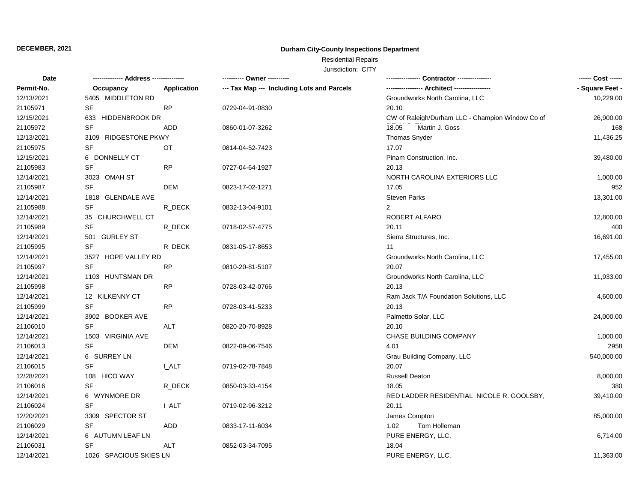### **Durham City-County Inspections Department**

# Residential Repairs

| <b>Date</b> | -------------- Address --------------- |              | ---------- Owner ----------                |                                                  |                 |
|-------------|----------------------------------------|--------------|--------------------------------------------|--------------------------------------------------|-----------------|
| Permit-No.  | Occupancy                              | Application  | --- Tax Map --- Including Lots and Parcels |                                                  | - Square Feet - |
| 12/13/2021  | 5405 MIDDLETON RD                      |              |                                            | Groundworks North Carolina, LLC                  | 10,229.00       |
| 21105971    | SF                                     | <b>RP</b>    | 0729-04-91-0830                            | 20.10                                            |                 |
| 12/15/2021  | 633 HIDDENBROOK DR                     |              |                                            | CW of Raleigh/Durham LLC - Champion Window Co of | 26,900.00       |
| 21105972    | <b>SF</b>                              | <b>ADD</b>   | 0860-01-07-3262                            | Martin J. Goss<br>18.05                          | 168             |
| 12/13/2021  | 3109 RIDGESTONE PKWY                   |              |                                            | Thomas Snyder                                    | 11,436.25       |
| 21105975    | SF                                     | OT           | 0814-04-52-7423                            | 17.07                                            |                 |
| 12/15/2021  | 6 DONNELLY CT                          |              |                                            | Pinam Construction, Inc.                         | 39,480.00       |
| 21105983    | SF                                     | <b>RP</b>    | 0727-04-64-1927                            | 20.13                                            |                 |
| 12/14/2021  | 3023 OMAH ST                           |              |                                            | NORTH CAROLINA EXTERIORS LLC                     | 1,000.00        |
| 21105987    | SF                                     | <b>DEM</b>   | 0823-17-02-1271                            | 17.05                                            | 952             |
| 12/14/2021  | 1818 GLENDALE AVE                      |              |                                            | <b>Steven Parks</b>                              | 13,301.00       |
| 21105988    | $\ensuremath{\mathsf{SF}}\xspace$      | R_DECK       | 0832-13-04-9101                            | $\overline{2}$                                   |                 |
| 12/14/2021  | 35 CHURCHWELL CT                       |              |                                            | ROBERT ALFARO                                    | 12,800.00       |
| 21105989    | SF                                     | R DECK       | 0718-02-57-4775                            | 20.11                                            | 400             |
| 12/14/2021  | 501 GURLEY ST                          |              |                                            | Sierra Structures, Inc.                          | 16,691.00       |
| 21105995    | SF                                     | R_DECK       | 0831-05-17-8653                            | 11                                               |                 |
| 12/14/2021  | 3527 HOPE VALLEY RD                    |              |                                            | Groundworks North Carolina, LLC                  | 17,455.00       |
| 21105997    | <b>SF</b>                              | <b>RP</b>    | 0810-20-81-5107                            | 20.07                                            |                 |
| 12/14/2021  | 1103 HUNTSMAN DR                       |              |                                            | Groundworks North Carolina, LLC                  | 11,933.00       |
| 21105998    | <b>SF</b>                              | <b>RP</b>    | 0728-03-42-0766                            | 20.13                                            |                 |
| 12/14/2021  | 12 KILKENNY CT                         |              |                                            | Ram Jack T/A Foundation Solutions, LLC           | 4,600.00        |
| 21105999    | SF                                     | <b>RP</b>    | 0728-03-41-5233                            | 20.13                                            |                 |
| 12/14/2021  | 3902 BOOKER AVE                        |              |                                            | Palmetto Solar, LLC                              | 24,000.00       |
| 21106010    | <b>SF</b>                              | <b>ALT</b>   | 0820-20-70-8928                            | 20.10                                            |                 |
| 12/14/2021  | 1503 VIRGINIA AVE                      |              |                                            | <b>CHASE BUILDING COMPANY</b>                    | 1,000.00        |
| 21106013    | SF                                     | <b>DEM</b>   | 0822-09-06-7546                            | 4.01                                             | 2958            |
| 12/14/2021  | 6 SURREY LN                            |              |                                            | Grau Building Company, LLC                       | 540,000.00      |
| 21106015    | <b>SF</b>                              | I ALT        | 0719-02-78-7848                            | 20.07                                            |                 |
| 12/28/2021  | 108 HICO WAY                           |              |                                            | <b>Russell Deaton</b>                            | 8,000.00        |
| 21106016    | <b>SF</b>                              | R_DECK       | 0850-03-33-4154                            | 18.05                                            | 380             |
| 12/14/2021  | 6 WYNMORE DR                           |              |                                            | RED LADDER RESIDENTIAL NICOLE R. GOOLSBY,        | 39,410.00       |
| 21106024    | <b>SF</b>                              | <b>I_ALT</b> | 0719-02-96-3212                            | 20.11                                            |                 |
| 12/20/2021  | 3309 SPECTOR ST                        |              |                                            | James Compton                                    | 85,000.00       |
| 21106029    | <b>SF</b>                              | <b>ADD</b>   | 0833-17-11-6034                            | 1.02<br>Tom Holleman                             |                 |
| 12/14/2021  | 6 AUTUMN LEAF LN                       |              |                                            | PURE ENERGY, LLC.                                | 6,714.00        |
| 21106031    | <b>SF</b>                              | ALT          | 0852-03-34-7095                            | 18.04                                            |                 |
| 12/14/2021  | 1026 SPACIOUS SKIES LN                 |              |                                            | PURE ENERGY, LLC.                                | 11,363.00       |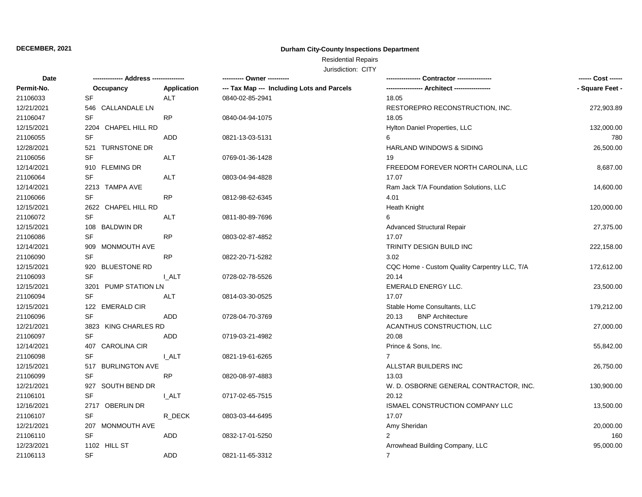### **Durham City-County Inspections Department**

# Residential Repairs

| <b>Date</b> | ------------- Address -------------- |              | ---------- Owner ----------                |                                              | ------ Cost ------ |  |
|-------------|--------------------------------------|--------------|--------------------------------------------|----------------------------------------------|--------------------|--|
| Permit-No.  | Occupancy                            | Application  | --- Tax Map --- Including Lots and Parcels |                                              | - Square Feet -    |  |
| 21106033    | SF                                   | ALT          | 0840-02-85-2941                            | 18.05                                        |                    |  |
| 12/21/2021  | 546 CALLANDALE LN                    |              |                                            | RESTOREPRO RECONSTRUCTION, INC.              | 272,903.89         |  |
| 21106047    | SF                                   | <b>RP</b>    | 0840-04-94-1075                            | 18.05                                        |                    |  |
| 12/15/2021  | 2204 CHAPEL HILL RD                  |              |                                            | Hylton Daniel Properties, LLC                | 132,000.00         |  |
| 21106055    | SF                                   | ADD          | 0821-13-03-5131                            | 6                                            | 780                |  |
| 12/28/2021  | 521 TURNSTONE DR                     |              |                                            | HARLAND WINDOWS & SIDING                     | 26,500.00          |  |
| 21106056    | SF                                   | <b>ALT</b>   | 0769-01-36-1428                            | 19                                           |                    |  |
| 12/14/2021  | 910 FLEMING DR                       |              |                                            | FREEDOM FOREVER NORTH CAROLINA, LLC          | 8,687.00           |  |
| 21106064    | <b>SF</b>                            | <b>ALT</b>   | 0803-04-94-4828                            | 17.07                                        |                    |  |
| 12/14/2021  | 2213 TAMPA AVE                       |              |                                            | Ram Jack T/A Foundation Solutions, LLC       | 14,600.00          |  |
| 21106066    | SF                                   | <b>RP</b>    | 0812-98-62-6345                            | 4.01                                         |                    |  |
| 12/15/2021  | 2622 CHAPEL HILL RD                  |              |                                            | Heath Knight                                 | 120,000.00         |  |
| 21106072    | <b>SF</b>                            | <b>ALT</b>   | 0811-80-89-7696                            | 6                                            |                    |  |
| 12/15/2021  | 108 BALDWIN DR                       |              |                                            | Advanced Structural Repair                   | 27,375.00          |  |
| 21106086    | SF                                   | <b>RP</b>    | 0803-02-87-4852                            | 17.07                                        |                    |  |
| 12/14/2021  | 909 MONMOUTH AVE                     |              |                                            | TRINITY DESIGN BUILD INC                     | 222,158.00         |  |
| 21106090    | SF                                   | <b>RP</b>    | 0822-20-71-5282                            | 3.02                                         |                    |  |
| 12/15/2021  | 920 BLUESTONE RD                     |              |                                            | CQC Home - Custom Quality Carpentry LLC, T/A | 172,612.00         |  |
| 21106093    | <b>SF</b>                            | I ALT        | 0728-02-78-5526                            | 20.14                                        |                    |  |
| 12/15/2021  | 3201 PUMP STATION LN                 |              |                                            | <b>EMERALD ENERGY LLC.</b>                   | 23,500.00          |  |
| 21106094    | <b>SF</b>                            | ALT          | 0814-03-30-0525                            | 17.07                                        |                    |  |
| 12/15/2021  | 122 EMERALD CIR                      |              |                                            | Stable Home Consultants, LLC                 | 179,212.00         |  |
| 21106096    | <b>SF</b>                            | ADD          | 0728-04-70-3769                            | <b>BNP</b> Architecture<br>20.13             |                    |  |
| 12/21/2021  | 3823 KING CHARLES RD                 |              |                                            | ACANTHUS CONSTRUCTION, LLC                   | 27,000.00          |  |
| 21106097    | SF                                   | ADD          | 0719-03-21-4982                            | 20.08                                        |                    |  |
| 12/14/2021  | 407 CAROLINA CIR                     |              |                                            | Prince & Sons, Inc.                          | 55,842.00          |  |
| 21106098    | <b>SF</b>                            | <b>I_ALT</b> | 0821-19-61-6265                            | $\overline{7}$                               |                    |  |
| 12/15/2021  | 517 BURLINGTON AVE                   |              |                                            | ALLSTAR BUILDERS INC                         | 26,750.00          |  |
| 21106099    | SF                                   | <b>RP</b>    | 0820-08-97-4883                            | 13.03                                        |                    |  |
| 12/21/2021  | 927 SOUTH BEND DR                    |              |                                            | W. D. OSBORNE GENERAL CONTRACTOR, INC.       | 130,900.00         |  |
| 21106101    | <b>SF</b>                            | I ALT        | 0717-02-65-7515                            | 20.12                                        |                    |  |
| 12/16/2021  | 2717 OBERLIN DR                      |              |                                            | ISMAEL CONSTRUCTION COMPANY LLC              | 13,500.00          |  |
| 21106107    | SF                                   | R_DECK       | 0803-03-44-6495                            | 17.07                                        |                    |  |
| 12/21/2021  | 207 MONMOUTH AVE                     |              |                                            | Amy Sheridan                                 | 20,000.00          |  |
| 21106110    | SF                                   | ADD          | 0832-17-01-5250                            | $\overline{2}$                               | 160                |  |
| 12/23/2021  | 1102 HILL ST                         |              |                                            | Arrowhead Building Company, LLC              | 95,000.00          |  |
| 21106113    | <b>SF</b>                            | <b>ADD</b>   | 0821-11-65-3312                            | $\overline{7}$                               |                    |  |
|             |                                      |              |                                            |                                              |                    |  |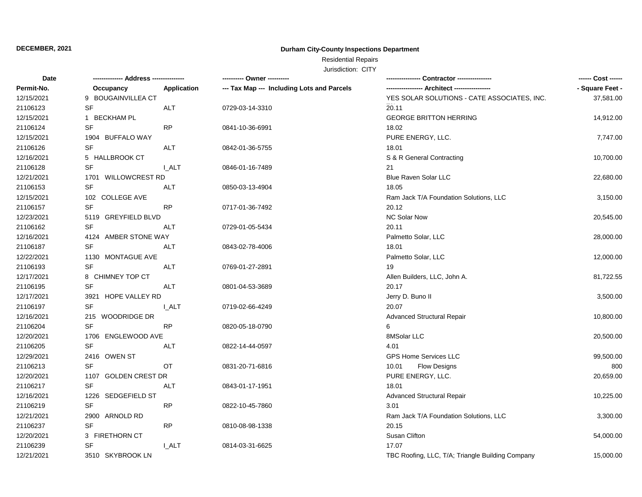### **Durham City-County Inspections Department**

# Residential Repairs

| <b>Date</b> |                                   |              | ---------- Owner ----------                | Contractor ----------------                      | ------ Cost ------ |
|-------------|-----------------------------------|--------------|--------------------------------------------|--------------------------------------------------|--------------------|
| Permit-No.  | Occupancy                         | Application  | --- Tax Map --- Including Lots and Parcels |                                                  | - Square Feet -    |
| 12/15/2021  | 9 BOUGAINVILLEA CT                |              |                                            | YES SOLAR SOLUTIONS - CATE ASSOCIATES, INC.      | 37,581.00          |
| 21106123    | <b>SF</b>                         | <b>ALT</b>   | 0729-03-14-3310                            | 20.11                                            |                    |
| 12/15/2021  | 1 BECKHAM PL                      |              |                                            | <b>GEORGE BRITTON HERRING</b>                    | 14,912.00          |
| 21106124    | SF                                | <b>RP</b>    | 0841-10-36-6991                            | 18.02                                            |                    |
| 12/15/2021  | 1904 BUFFALO WAY                  |              |                                            | PURE ENERGY, LLC.                                | 7,747.00           |
| 21106126    | SF                                | <b>ALT</b>   | 0842-01-36-5755                            | 18.01                                            |                    |
| 12/16/2021  | 5 HALLBROOK CT                    |              |                                            | S & R General Contracting                        | 10,700.00          |
| 21106128    | SF                                | <b>L_ALT</b> | 0846-01-16-7489                            | 21                                               |                    |
| 12/21/2021  | 1701 WILLOWCREST RD               |              |                                            | Blue Raven Solar LLC                             | 22,680.00          |
| 21106153    | <b>SF</b>                         | <b>ALT</b>   | 0850-03-13-4904                            | 18.05                                            |                    |
| 12/15/2021  | 102 COLLEGE AVE                   |              |                                            | Ram Jack T/A Foundation Solutions, LLC           | 3,150.00           |
| 21106157    | <b>SF</b>                         | <b>RP</b>    | 0717-01-36-7492                            | 20.12                                            |                    |
| 12/23/2021  | 5119 GREYFIELD BLVD               |              |                                            | NC Solar Now                                     | 20,545.00          |
| 21106162    | <b>SF</b>                         | ALT          | 0729-01-05-5434                            | 20.11                                            |                    |
| 12/16/2021  | 4124 AMBER STONE WAY              |              |                                            | Palmetto Solar, LLC                              | 28,000.00          |
| 21106187    | <b>SF</b>                         | ALT          | 0843-02-78-4006                            | 18.01                                            |                    |
| 12/22/2021  | 1130 MONTAGUE AVE                 |              |                                            | Palmetto Solar, LLC                              | 12,000.00          |
| 21106193    | <b>SF</b>                         | ALT          | 0769-01-27-2891                            | 19                                               |                    |
| 12/17/2021  | 8 CHIMNEY TOP CT                  |              |                                            | Allen Builders, LLC, John A.                     | 81,722.55          |
| 21106195    | <b>SF</b>                         | <b>ALT</b>   | 0801-04-53-3689                            | 20.17                                            |                    |
| 12/17/2021  | 3921 HOPE VALLEY RD               |              |                                            | Jerry D. Buno II                                 | 3,500.00           |
| 21106197    | SF                                | <b>LALT</b>  | 0719-02-66-4249                            | 20.07                                            |                    |
| 12/16/2021  | 215 WOODRIDGE DR                  |              |                                            | <b>Advanced Structural Repair</b>                | 10,800.00          |
| 21106204    | <b>SF</b>                         | <b>RP</b>    | 0820-05-18-0790                            | 6                                                |                    |
| 12/20/2021  | 1706 ENGLEWOOD AVE                |              |                                            | 8MSolar LLC                                      | 20,500.00          |
| 21106205    | <b>SF</b>                         | <b>ALT</b>   | 0822-14-44-0597                            | 4.01                                             |                    |
| 12/29/2021  | 2416 OWEN ST                      |              |                                            | GPS Home Services LLC                            | 99,500.00          |
| 21106213    | SF                                | OT           | 0831-20-71-6816                            | 10.01<br><b>Flow Designs</b>                     | 800                |
| 12/20/2021  | 1107 GOLDEN CREST DR              |              |                                            | PURE ENERGY, LLC.                                | 20,659.00          |
| 21106217    | SF                                | ALT          | 0843-01-17-1951                            | 18.01                                            |                    |
| 12/16/2021  | 1226 SEDGEFIELD ST                |              |                                            | <b>Advanced Structural Repair</b>                | 10,225.00          |
| 21106219    | $\ensuremath{\mathsf{SF}}\xspace$ | <b>RP</b>    | 0822-10-45-7860                            | 3.01                                             |                    |
| 12/21/2021  | 2900 ARNOLD RD                    |              |                                            | Ram Jack T/A Foundation Solutions, LLC           | 3,300.00           |
| 21106237    | SF                                | <b>RP</b>    | 0810-08-98-1338                            | 20.15                                            |                    |
| 12/20/2021  | 3 FIRETHORN CT                    |              |                                            | Susan Clifton                                    | 54,000.00          |
| 21106239    | <b>SF</b>                         | <b>I_ALT</b> | 0814-03-31-6625                            | 17.07                                            |                    |
| 12/21/2021  | 3510 SKYBROOK LN                  |              |                                            | TBC Roofing, LLC, T/A; Triangle Building Company | 15,000.00          |